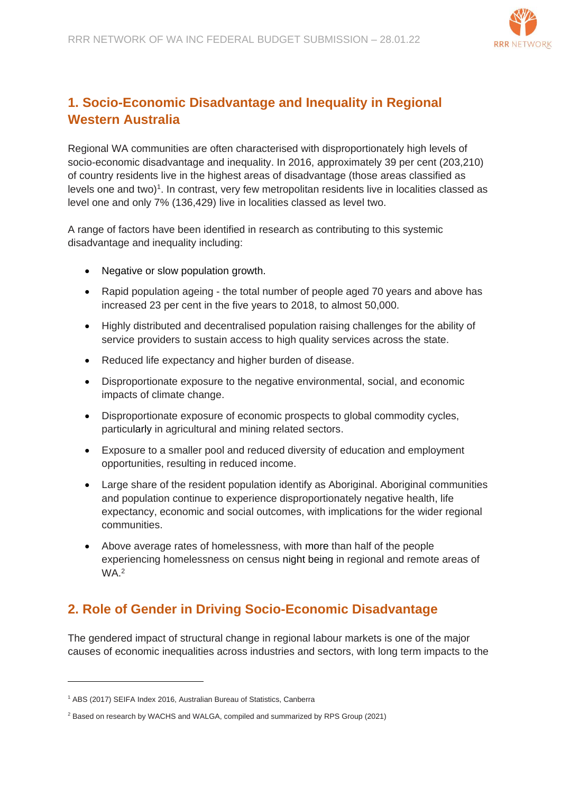

# **1. Socio-Economic Disadvantage and Inequality in Regional Western Australia**

Regional WA communities are often characterised with disproportionately high levels of socio-economic disadvantage and inequality. In 2016, approximately 39 per cent (203,210) of country residents live in the highest areas of disadvantage (those areas classified as levels one and two)<sup>1</sup>. In contrast, very few metropolitan residents live in localities classed as level one and only 7% (136,429) live in localities classed as level two.

A range of factors have been identified in research as contributing to this systemic disadvantage and inequality including:

- Negative or slow population growth.
- Rapid population ageing the total number of people aged 70 years and above has increased 23 per cent in the five years to 2018, to almost 50,000.
- Highly distributed and decentralised population raising challenges for the ability of service providers to sustain access to high quality services across the state.
- Reduced life expectancy and higher burden of disease.
- Disproportionate exposure to the negative environmental, social, and economic impacts of climate change.
- Disproportionate exposure of economic prospects to global commodity cycles, particularly in agricultural and mining related sectors.
- Exposure to a smaller pool and reduced diversity of education and employment opportunities, resulting in reduced income.
- Large share of the resident population identify as Aboriginal. Aboriginal communities and population continue to experience disproportionately negative health, life expectancy, economic and social outcomes, with implications for the wider regional communities.
- Above average rates of homelessness, with more than half of the people experiencing homelessness on census night being in regional and remote areas of WA. 2

# **2. Role of Gender in Driving Socio-Economic Disadvantage**

The gendered impact of structural change in regional labour markets is one of the major causes of economic inequalities across industries and sectors, with long term impacts to the

<sup>1</sup> ABS (2017) SEIFA Index 2016, Australian Bureau of Statistics, Canberra

<sup>&</sup>lt;sup>2</sup> Based on research by WACHS and WALGA, compiled and summarized by RPS Group (2021)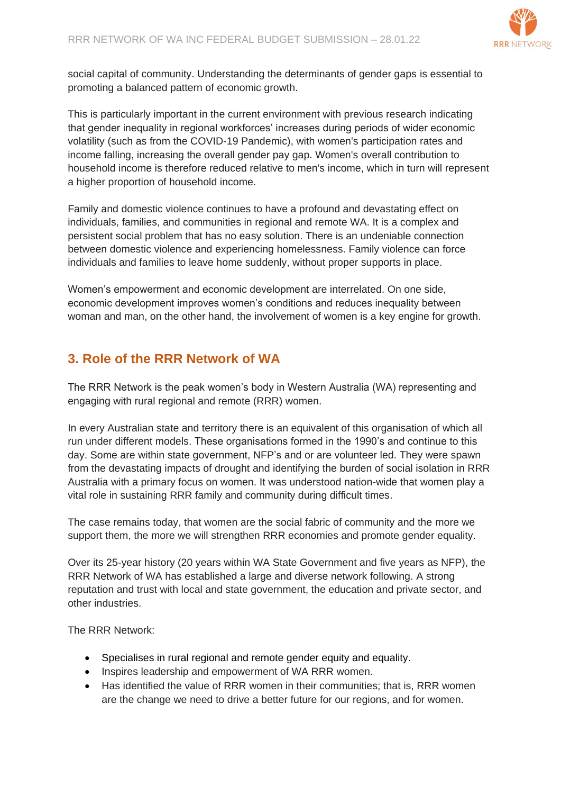

social capital of community. Understanding the determinants of gender gaps is essential to promoting a balanced pattern of economic growth.

This is particularly important in the current environment with previous research indicating that gender inequality in regional workforces' increases during periods of wider economic volatility (such as from the COVID-19 Pandemic), with women's participation rates and income falling, increasing the overall gender pay gap. Women's overall contribution to household income is therefore reduced relative to men's income, which in turn will represent a higher proportion of household income.

Family and domestic violence continues to have a profound and devastating effect on individuals, families, and communities in regional and remote WA. It is a complex and persistent social problem that has no easy solution. There is an undeniable connection between domestic violence and experiencing homelessness. Family violence can force individuals and families to leave home suddenly, without proper supports in place.

Women's empowerment and economic development are interrelated. On one side, economic development improves women's conditions and reduces inequality between woman and man, on the other hand, the involvement of women is a key engine for growth.

# **3. Role of the RRR Network of WA**

The RRR Network is the peak women's body in Western Australia (WA) representing and engaging with rural regional and remote (RRR) women.

In every Australian state and territory there is an equivalent of this organisation of which all run under different models. These organisations formed in the 1990's and continue to this day. Some are within state government, NFP's and or are volunteer led. They were spawn from the devastating impacts of drought and identifying the burden of social isolation in RRR Australia with a primary focus on women. It was understood nation-wide that women play a vital role in sustaining RRR family and community during difficult times.

The case remains today, that women are the social fabric of community and the more we support them, the more we will strengthen RRR economies and promote gender equality.

Over its 25-year history (20 years within WA State Government and five years as NFP), the RRR Network of WA has established a large and diverse network following. A strong reputation and trust with local and state government, the education and private sector, and other industries.

The RRR Network:

- Specialises in rural regional and remote gender equity and equality.
- Inspires leadership and empowerment of WA RRR women.
- Has identified the value of RRR women in their communities; that is, RRR women are the change we need to drive a better future for our regions, and for women.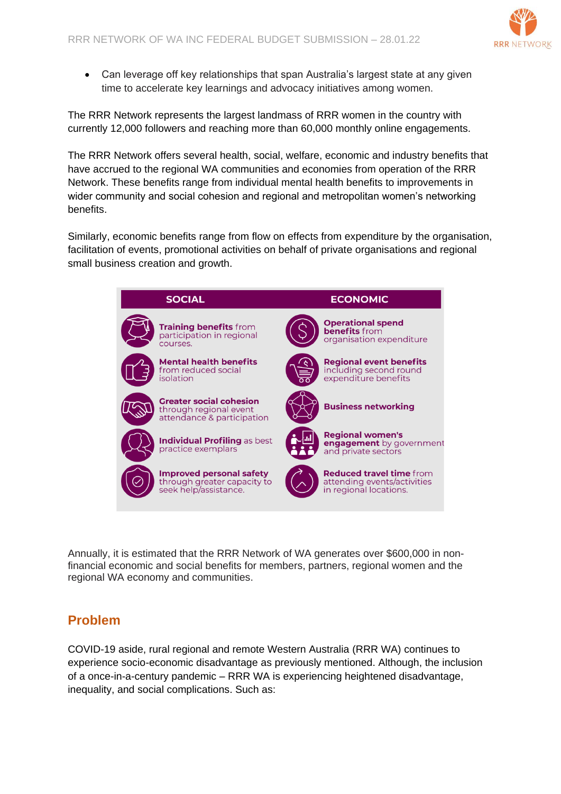

• Can leverage off key relationships that span Australia's largest state at any given time to accelerate key learnings and advocacy initiatives among women.

The RRR Network represents the largest landmass of RRR women in the country with currently 12,000 followers and reaching more than 60,000 monthly online engagements.

The RRR Network offers several health, social, welfare, economic and industry benefits that have accrued to the regional WA communities and economies from operation of the RRR Network. These benefits range from individual mental health benefits to improvements in wider community and social cohesion and regional and metropolitan women's networking benefits.

Similarly, economic benefits range from flow on effects from expenditure by the organisation, facilitation of events, promotional activities on behalf of private organisations and regional small business creation and growth.



Annually, it is estimated that the RRR Network of WA generates over \$600,000 in nonfinancial economic and social benefits for members, partners, regional women and the regional WA economy and communities.

### **Problem**

COVID-19 aside, rural regional and remote Western Australia (RRR WA) continues to experience socio-economic disadvantage as previously mentioned. Although, the inclusion of a once-in-a-century pandemic – RRR WA is experiencing heightened disadvantage, inequality, and social complications. Such as: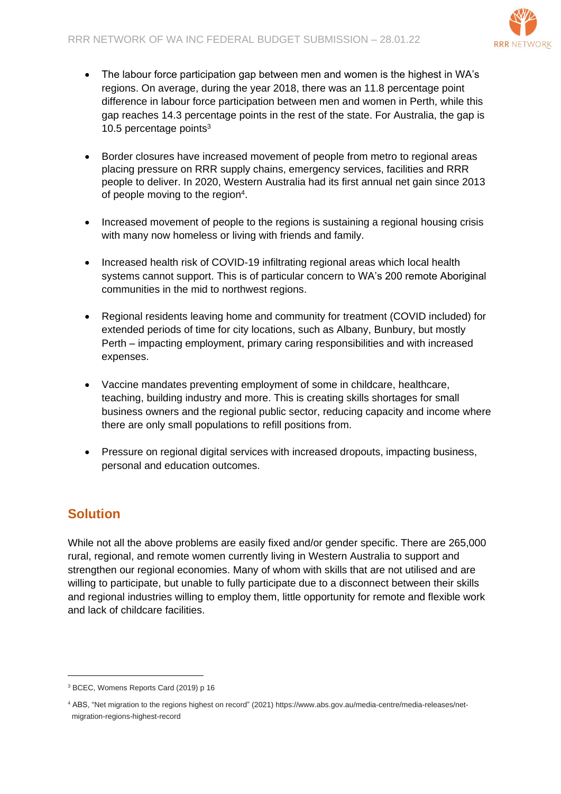

- The labour force participation gap between men and women is the highest in WA's regions. On average, during the year 2018, there was an 11.8 percentage point difference in labour force participation between men and women in Perth, while this gap reaches 14.3 percentage points in the rest of the state. For Australia, the gap is 10.5 percentage points<sup>3</sup>
- Border closures have increased movement of people from metro to regional areas placing pressure on RRR supply chains, emergency services, facilities and RRR people to deliver. In 2020, Western Australia had its first annual net gain since 2013 of people moving to the region<sup>4</sup>.
- Increased movement of people to the regions is sustaining a regional housing crisis with many now homeless or living with friends and family.
- Increased health risk of COVID-19 infiltrating regional areas which local health systems cannot support. This is of particular concern to WA's 200 remote Aboriginal communities in the mid to northwest regions.
- Regional residents leaving home and community for treatment (COVID included) for extended periods of time for city locations, such as Albany, Bunbury, but mostly Perth – impacting employment, primary caring responsibilities and with increased expenses.
- Vaccine mandates preventing employment of some in childcare, healthcare, teaching, building industry and more. This is creating skills shortages for small business owners and the regional public sector, reducing capacity and income where there are only small populations to refill positions from.
- Pressure on regional digital services with increased dropouts, impacting business, personal and education outcomes.

# **Solution**

While not all the above problems are easily fixed and/or gender specific. There are 265,000 rural, regional, and remote women currently living in Western Australia to support and strengthen our regional economies. Many of whom with skills that are not utilised and are willing to participate, but unable to fully participate due to a disconnect between their skills and regional industries willing to employ them, little opportunity for remote and flexible work and lack of childcare facilities.

<sup>3</sup> BCEC, Womens Reports Card (2019) p 16

<sup>4</sup> ABS, "Net migration to the regions highest on record" (2021) https://www.abs.gov.au/media-centre/media-releases/netmigration-regions-highest-record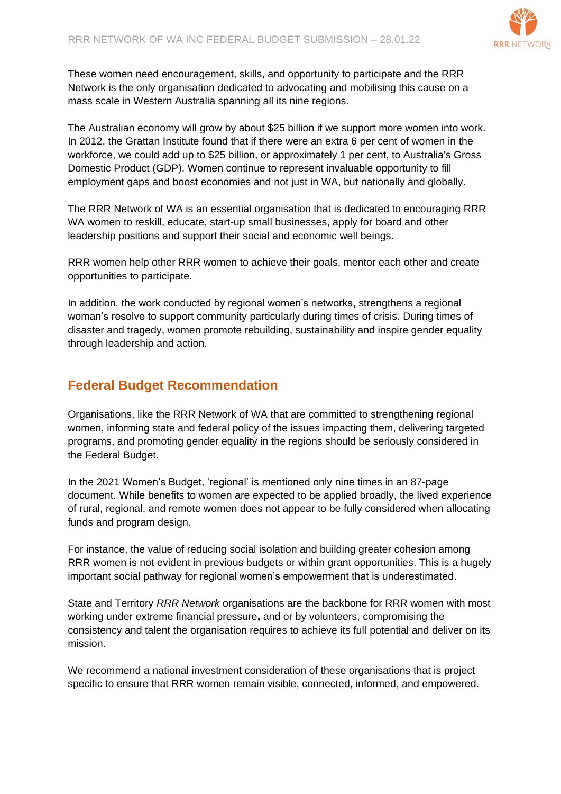

These women need encouragement, skills, and opportunity to participate and the RRR Network is the only organisation dedicated to advocating and mobilising this cause on a mass scale in Western Australia spanning all its nine regions.

The Australian economy will grow by about \$25 billion if we support more women into work. In 2012, the Grattan Institute found that if there were an extra 6 per cent of women in the workforce, we could add up to \$25 billion, or approximately 1 per cent, to Australia's Gross Domestic Product (GDP). Women continue to represent invaluable opportunity to fill employment gaps and boost economies and not just in WA, but nationally and globally.

The RRR Network of WA is an essential organisation that is dedicated to encouraging RRR WA women to reskill, educate, start-up small businesses, apply for board and other leadership positions and support their social and economic well beings.

RRR women help other RRR women to achieve their goals, mentor each other and create opportunities to participate.

In addition, the work conducted by regional women's networks, strengthens a regional woman's resolve to support community particularly during times of crisis. During times of disaster and tragedy, women promote rebuilding, sustainability and inspire gender equality through leadership and action.

### **Federal Budget Recommendation**

Organisations, like the RRR Network of WA that are committed to strengthening regional women, informing state and federal policy of the issues impacting them, delivering targeted programs, and promoting gender equality in the regions should be seriously considered in the Federal Budget.

In the 2021 Women's Budget, 'regional' is mentioned only nine times in an 87-page document. While benefits to women are expected to be applied broadly, the lived experience of rural, regional, and remote women does not appear to be fully considered when allocating funds and program design.

For instance, the value of reducing social isolation and building greater cohesion among RRR women is not evident in previous budgets or within grant opportunities. This is a hugely important social pathway for regional women's empowerment that is underestimated.

State and Territory *RRR Network* organisations are the backbone for RRR women with most working under extreme financial pressure**,** and or by volunteers, compromising the consistency and talent the organisation requires to achieve its full potential and deliver on its mission.

We recommend a national investment consideration of these organisations that is project specific to ensure that RRR women remain visible, connected, informed, and empowered.